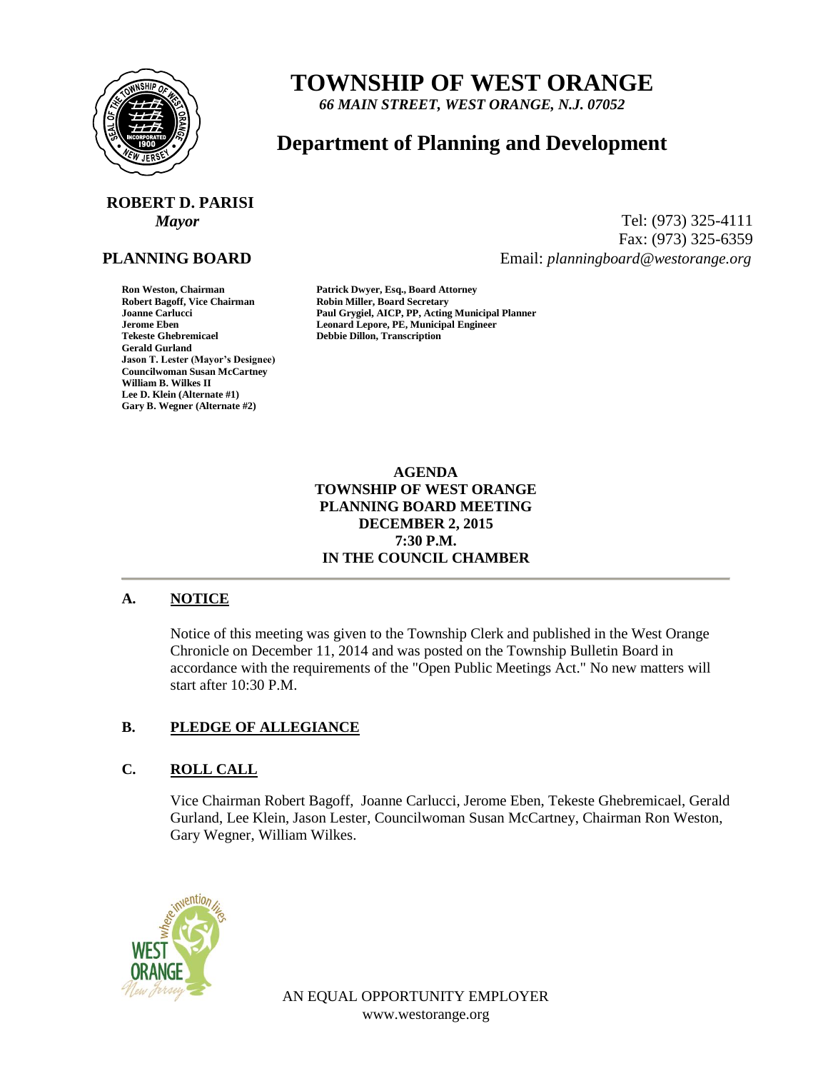

## **TOWNSHIP OF WEST ORANGE**

*66 MAIN STREET, WEST ORANGE, N.J. 07052*

### **Department of Planning and Development**

# **ROBERT D. PARISI**

#### **PLANNING BOARD**

**Gerald Gurland Jason T. Lester (Mayor's Designee) Councilwoman Susan McCartney William B. Wilkes II Lee D. Klein (Alternate #1) Gary B. Wegner (Alternate #2)**

*Mayor* Tel: (973) 325-4111 Fax: (973) 325-6359 Email: *planningboard@westorange.org*

**Ron Weston, Chairman Patrick Dwyer, Esq., Board Attorney Robin Miller, Board Secretary Joanne Carlucci Paul Grygiel, AICP, PP, Acting Municipal Planner Jerome Eben Leonard Lepore, PE, Municipal Engineer Tekeste Ghebremicael Debbie Dillon, Transcription**

> **AGENDA TOWNSHIP OF WEST ORANGE PLANNING BOARD MEETING DECEMBER 2, 2015 7:30 P.M. IN THE COUNCIL CHAMBER**

#### **A. NOTICE**

Notice of this meeting was given to the Township Clerk and published in the West Orange Chronicle on December 11, 2014 and was posted on the Township Bulletin Board in accordance with the requirements of the "Open Public Meetings Act." No new matters will start after 10:30 P.M.

#### **B. PLEDGE OF ALLEGIANCE**

#### **C. ROLL CALL**

Vice Chairman Robert Bagoff, Joanne Carlucci, Jerome Eben, Tekeste Ghebremicael, Gerald Gurland, Lee Klein, Jason Lester, Councilwoman Susan McCartney, Chairman Ron Weston, Gary Wegner, William Wilkes.



AN EQUAL OPPORTUNITY EMPLOYER www.westorange.org